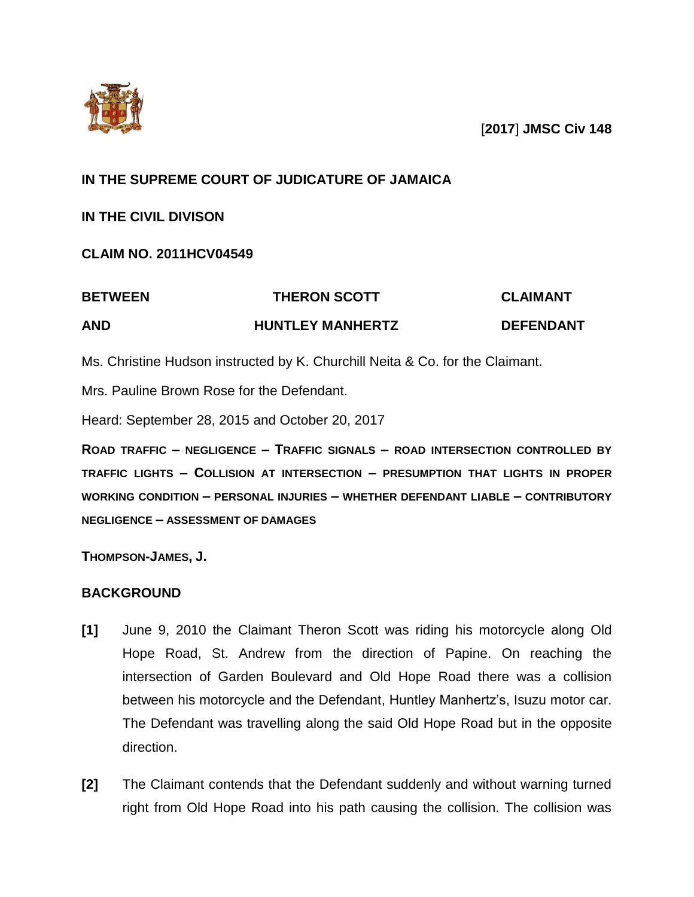

[**2017**] **JMSC Civ 148**

# **IN THE SUPREME COURT OF JUDICATURE OF JAMAICA**

# **IN THE CIVIL DIVISON**

# **CLAIM NO. 2011HCV04549**

# **BETWEEN THERON SCOTT CLAIMANT AND HUNTLEY MANHERTZ DEFENDANT**

Ms. Christine Hudson instructed by K. Churchill Neita & Co. for the Claimant.

Mrs. Pauline Brown Rose for the Defendant.

Heard: September 28, 2015 and October 20, 2017

**ROAD TRAFFIC – NEGLIGENCE – TRAFFIC SIGNALS – ROAD INTERSECTION CONTROLLED BY TRAFFIC LIGHTS – COLLISION AT INTERSECTION – PRESUMPTION THAT LIGHTS IN PROPER WORKING CONDITION – PERSONAL INJURIES – WHETHER DEFENDANT LIABLE – CONTRIBUTORY NEGLIGENCE – ASSESSMENT OF DAMAGES**

**THOMPSON-JAMES, J.**

# **BACKGROUND**

- **[1]** June 9, 2010 the Claimant Theron Scott was riding his motorcycle along Old Hope Road, St. Andrew from the direction of Papine. On reaching the intersection of Garden Boulevard and Old Hope Road there was a collision between his motorcycle and the Defendant, Huntley Manhertz's, Isuzu motor car. The Defendant was travelling along the said Old Hope Road but in the opposite direction.
- **[2]** The Claimant contends that the Defendant suddenly and without warning turned right from Old Hope Road into his path causing the collision. The collision was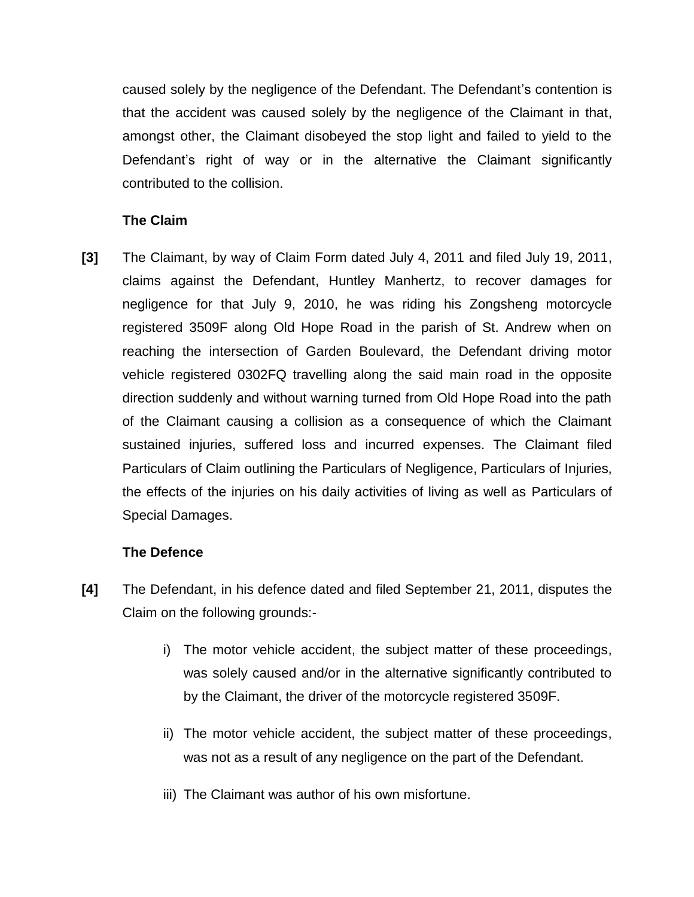caused solely by the negligence of the Defendant. The Defendant's contention is that the accident was caused solely by the negligence of the Claimant in that, amongst other, the Claimant disobeyed the stop light and failed to yield to the Defendant's right of way or in the alternative the Claimant significantly contributed to the collision.

# **The Claim**

**[3]** The Claimant, by way of Claim Form dated July 4, 2011 and filed July 19, 2011, claims against the Defendant, Huntley Manhertz, to recover damages for negligence for that July 9, 2010, he was riding his Zongsheng motorcycle registered 3509F along Old Hope Road in the parish of St. Andrew when on reaching the intersection of Garden Boulevard, the Defendant driving motor vehicle registered 0302FQ travelling along the said main road in the opposite direction suddenly and without warning turned from Old Hope Road into the path of the Claimant causing a collision as a consequence of which the Claimant sustained injuries, suffered loss and incurred expenses. The Claimant filed Particulars of Claim outlining the Particulars of Negligence, Particulars of Injuries, the effects of the injuries on his daily activities of living as well as Particulars of Special Damages.

## **The Defence**

- **[4]** The Defendant, in his defence dated and filed September 21, 2011, disputes the Claim on the following grounds:
	- i) The motor vehicle accident, the subject matter of these proceedings, was solely caused and/or in the alternative significantly contributed to by the Claimant, the driver of the motorcycle registered 3509F.
	- ii) The motor vehicle accident, the subject matter of these proceedings, was not as a result of any negligence on the part of the Defendant.
	- iii) The Claimant was author of his own misfortune.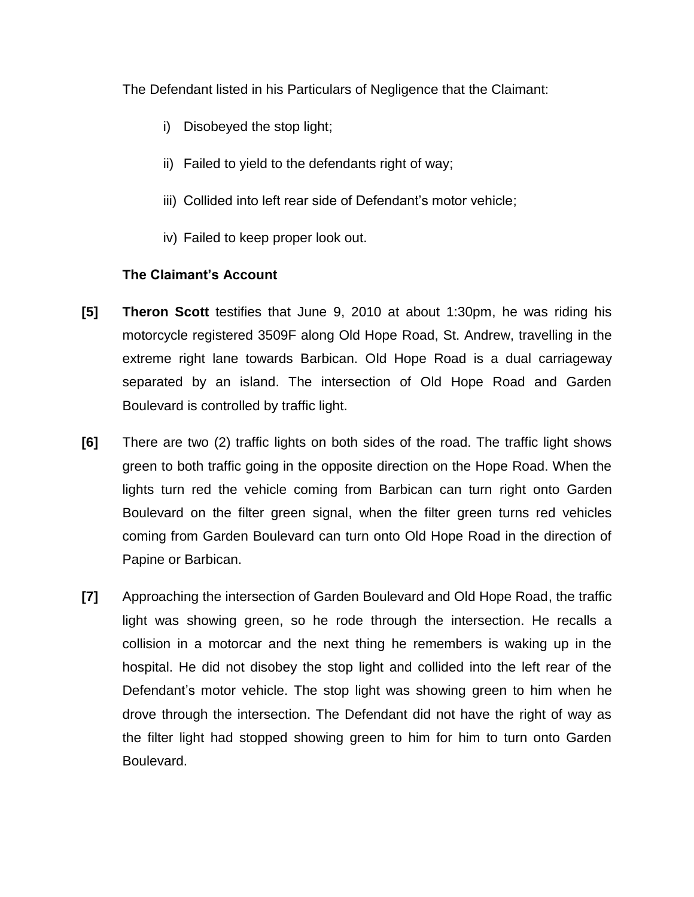The Defendant listed in his Particulars of Negligence that the Claimant:

- i) Disobeyed the stop light;
- ii) Failed to yield to the defendants right of way;
- iii) Collided into left rear side of Defendant's motor vehicle;
- iv) Failed to keep proper look out.

# **The Claimant's Account**

- **[5] Theron Scott** testifies that June 9, 2010 at about 1:30pm, he was riding his motorcycle registered 3509F along Old Hope Road, St. Andrew, travelling in the extreme right lane towards Barbican. Old Hope Road is a dual carriageway separated by an island. The intersection of Old Hope Road and Garden Boulevard is controlled by traffic light.
- **[6]** There are two (2) traffic lights on both sides of the road. The traffic light shows green to both traffic going in the opposite direction on the Hope Road. When the lights turn red the vehicle coming from Barbican can turn right onto Garden Boulevard on the filter green signal, when the filter green turns red vehicles coming from Garden Boulevard can turn onto Old Hope Road in the direction of Papine or Barbican.
- **[7]** Approaching the intersection of Garden Boulevard and Old Hope Road, the traffic light was showing green, so he rode through the intersection. He recalls a collision in a motorcar and the next thing he remembers is waking up in the hospital. He did not disobey the stop light and collided into the left rear of the Defendant's motor vehicle. The stop light was showing green to him when he drove through the intersection. The Defendant did not have the right of way as the filter light had stopped showing green to him for him to turn onto Garden Boulevard.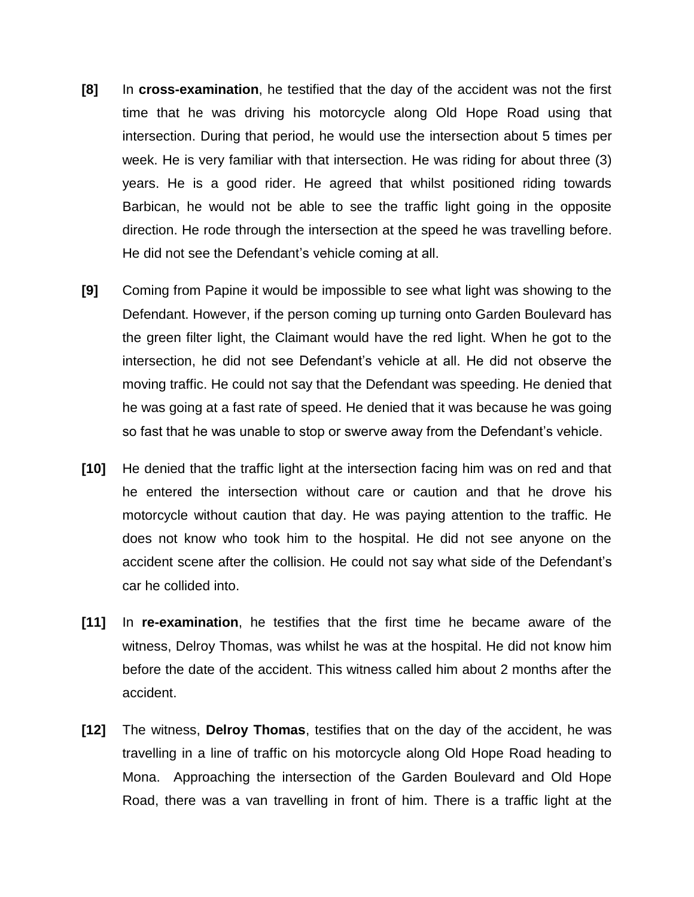- **[8]** In **cross-examination**, he testified that the day of the accident was not the first time that he was driving his motorcycle along Old Hope Road using that intersection. During that period, he would use the intersection about 5 times per week. He is very familiar with that intersection. He was riding for about three (3) years. He is a good rider. He agreed that whilst positioned riding towards Barbican, he would not be able to see the traffic light going in the opposite direction. He rode through the intersection at the speed he was travelling before. He did not see the Defendant's vehicle coming at all.
- **[9]** Coming from Papine it would be impossible to see what light was showing to the Defendant. However, if the person coming up turning onto Garden Boulevard has the green filter light, the Claimant would have the red light. When he got to the intersection, he did not see Defendant's vehicle at all. He did not observe the moving traffic. He could not say that the Defendant was speeding. He denied that he was going at a fast rate of speed. He denied that it was because he was going so fast that he was unable to stop or swerve away from the Defendant's vehicle.
- **[10]** He denied that the traffic light at the intersection facing him was on red and that he entered the intersection without care or caution and that he drove his motorcycle without caution that day. He was paying attention to the traffic. He does not know who took him to the hospital. He did not see anyone on the accident scene after the collision. He could not say what side of the Defendant's car he collided into.
- **[11]** In **re-examination**, he testifies that the first time he became aware of the witness, Delroy Thomas, was whilst he was at the hospital. He did not know him before the date of the accident. This witness called him about 2 months after the accident.
- **[12]** The witness, **Delroy Thomas**, testifies that on the day of the accident, he was travelling in a line of traffic on his motorcycle along Old Hope Road heading to Mona. Approaching the intersection of the Garden Boulevard and Old Hope Road, there was a van travelling in front of him. There is a traffic light at the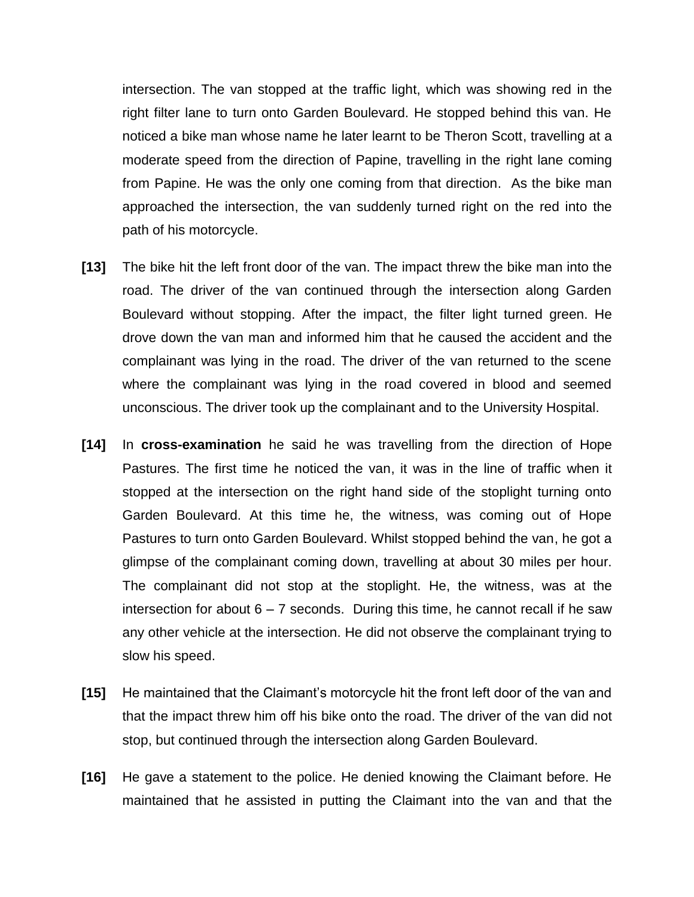intersection. The van stopped at the traffic light, which was showing red in the right filter lane to turn onto Garden Boulevard. He stopped behind this van. He noticed a bike man whose name he later learnt to be Theron Scott, travelling at a moderate speed from the direction of Papine, travelling in the right lane coming from Papine. He was the only one coming from that direction. As the bike man approached the intersection, the van suddenly turned right on the red into the path of his motorcycle.

- **[13]** The bike hit the left front door of the van. The impact threw the bike man into the road. The driver of the van continued through the intersection along Garden Boulevard without stopping. After the impact, the filter light turned green. He drove down the van man and informed him that he caused the accident and the complainant was lying in the road. The driver of the van returned to the scene where the complainant was lying in the road covered in blood and seemed unconscious. The driver took up the complainant and to the University Hospital.
- **[14]** In **cross-examination** he said he was travelling from the direction of Hope Pastures. The first time he noticed the van, it was in the line of traffic when it stopped at the intersection on the right hand side of the stoplight turning onto Garden Boulevard. At this time he, the witness, was coming out of Hope Pastures to turn onto Garden Boulevard. Whilst stopped behind the van, he got a glimpse of the complainant coming down, travelling at about 30 miles per hour. The complainant did not stop at the stoplight. He, the witness, was at the intersection for about  $6 - 7$  seconds. During this time, he cannot recall if he saw any other vehicle at the intersection. He did not observe the complainant trying to slow his speed.
- **[15]** He maintained that the Claimant's motorcycle hit the front left door of the van and that the impact threw him off his bike onto the road. The driver of the van did not stop, but continued through the intersection along Garden Boulevard.
- **[16]** He gave a statement to the police. He denied knowing the Claimant before. He maintained that he assisted in putting the Claimant into the van and that the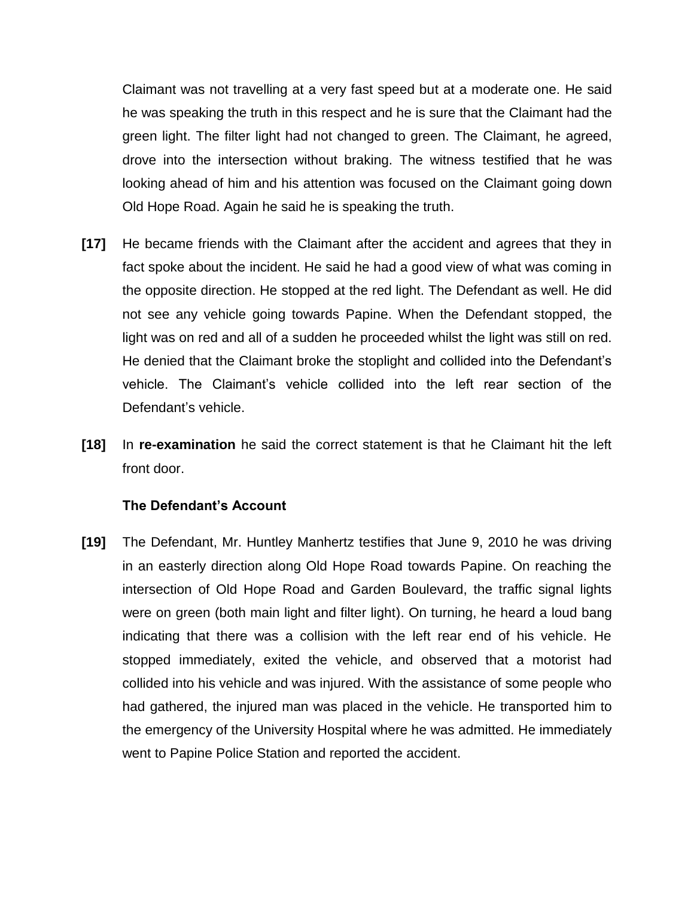Claimant was not travelling at a very fast speed but at a moderate one. He said he was speaking the truth in this respect and he is sure that the Claimant had the green light. The filter light had not changed to green. The Claimant, he agreed, drove into the intersection without braking. The witness testified that he was looking ahead of him and his attention was focused on the Claimant going down Old Hope Road. Again he said he is speaking the truth.

- **[17]** He became friends with the Claimant after the accident and agrees that they in fact spoke about the incident. He said he had a good view of what was coming in the opposite direction. He stopped at the red light. The Defendant as well. He did not see any vehicle going towards Papine. When the Defendant stopped, the light was on red and all of a sudden he proceeded whilst the light was still on red. He denied that the Claimant broke the stoplight and collided into the Defendant's vehicle. The Claimant's vehicle collided into the left rear section of the Defendant's vehicle.
- **[18]** In **re-examination** he said the correct statement is that he Claimant hit the left front door.

#### **The Defendant's Account**

**[19]** The Defendant, Mr. Huntley Manhertz testifies that June 9, 2010 he was driving in an easterly direction along Old Hope Road towards Papine. On reaching the intersection of Old Hope Road and Garden Boulevard, the traffic signal lights were on green (both main light and filter light). On turning, he heard a loud bang indicating that there was a collision with the left rear end of his vehicle. He stopped immediately, exited the vehicle, and observed that a motorist had collided into his vehicle and was injured. With the assistance of some people who had gathered, the injured man was placed in the vehicle. He transported him to the emergency of the University Hospital where he was admitted. He immediately went to Papine Police Station and reported the accident.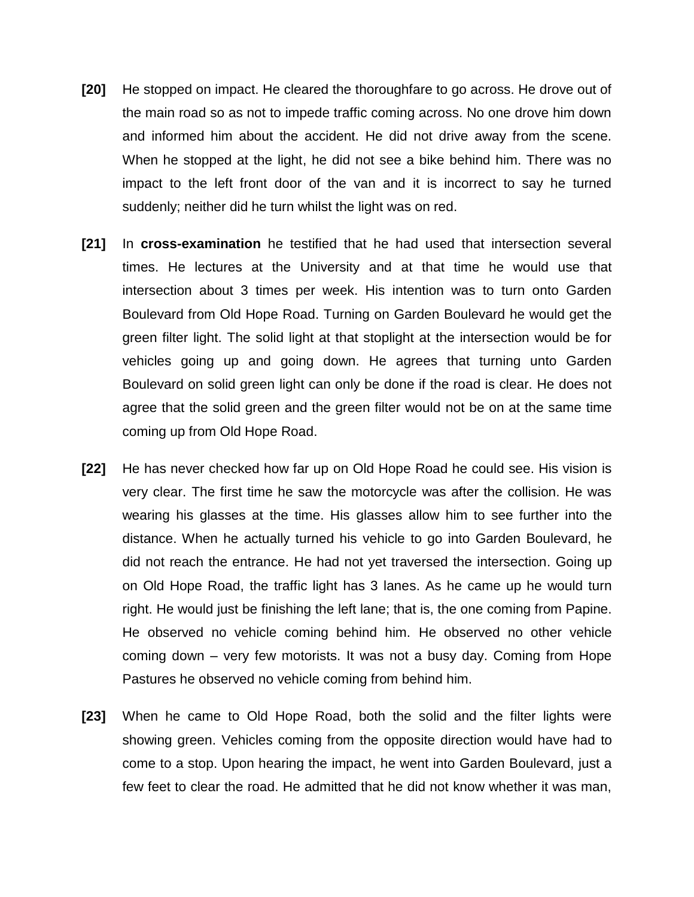- **[20]** He stopped on impact. He cleared the thoroughfare to go across. He drove out of the main road so as not to impede traffic coming across. No one drove him down and informed him about the accident. He did not drive away from the scene. When he stopped at the light, he did not see a bike behind him. There was no impact to the left front door of the van and it is incorrect to say he turned suddenly; neither did he turn whilst the light was on red.
- **[21]** In **cross-examination** he testified that he had used that intersection several times. He lectures at the University and at that time he would use that intersection about 3 times per week. His intention was to turn onto Garden Boulevard from Old Hope Road. Turning on Garden Boulevard he would get the green filter light. The solid light at that stoplight at the intersection would be for vehicles going up and going down. He agrees that turning unto Garden Boulevard on solid green light can only be done if the road is clear. He does not agree that the solid green and the green filter would not be on at the same time coming up from Old Hope Road.
- **[22]** He has never checked how far up on Old Hope Road he could see. His vision is very clear. The first time he saw the motorcycle was after the collision. He was wearing his glasses at the time. His glasses allow him to see further into the distance. When he actually turned his vehicle to go into Garden Boulevard, he did not reach the entrance. He had not yet traversed the intersection. Going up on Old Hope Road, the traffic light has 3 lanes. As he came up he would turn right. He would just be finishing the left lane; that is, the one coming from Papine. He observed no vehicle coming behind him. He observed no other vehicle coming down – very few motorists. It was not a busy day. Coming from Hope Pastures he observed no vehicle coming from behind him.
- **[23]** When he came to Old Hope Road, both the solid and the filter lights were showing green. Vehicles coming from the opposite direction would have had to come to a stop. Upon hearing the impact, he went into Garden Boulevard, just a few feet to clear the road. He admitted that he did not know whether it was man,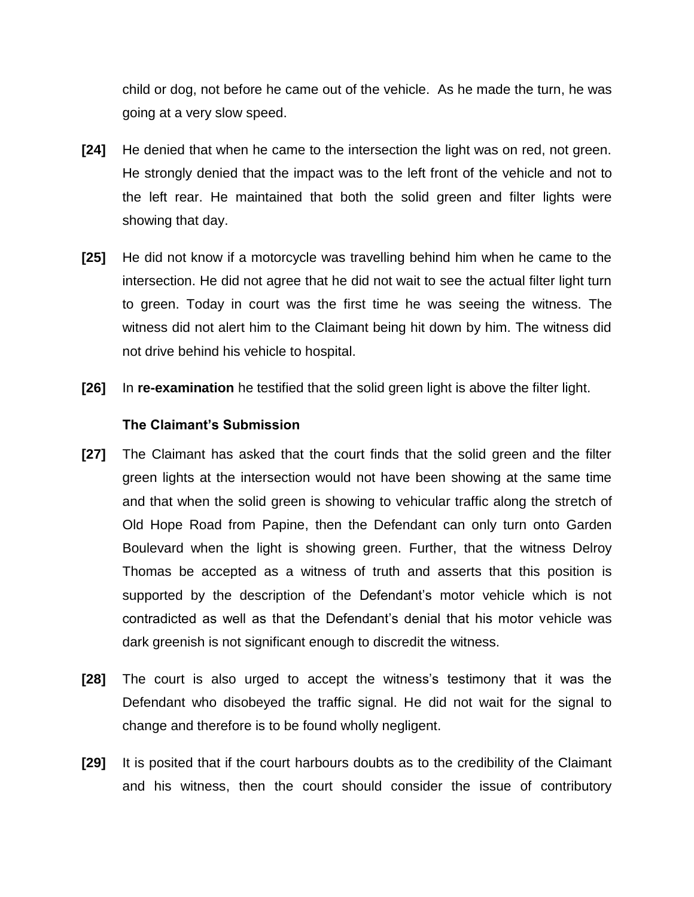child or dog, not before he came out of the vehicle. As he made the turn, he was going at a very slow speed.

- **[24]** He denied that when he came to the intersection the light was on red, not green. He strongly denied that the impact was to the left front of the vehicle and not to the left rear. He maintained that both the solid green and filter lights were showing that day.
- **[25]** He did not know if a motorcycle was travelling behind him when he came to the intersection. He did not agree that he did not wait to see the actual filter light turn to green. Today in court was the first time he was seeing the witness. The witness did not alert him to the Claimant being hit down by him. The witness did not drive behind his vehicle to hospital.
- **[26]** In **re-examination** he testified that the solid green light is above the filter light.

## **The Claimant's Submission**

- **[27]** The Claimant has asked that the court finds that the solid green and the filter green lights at the intersection would not have been showing at the same time and that when the solid green is showing to vehicular traffic along the stretch of Old Hope Road from Papine, then the Defendant can only turn onto Garden Boulevard when the light is showing green. Further, that the witness Delroy Thomas be accepted as a witness of truth and asserts that this position is supported by the description of the Defendant's motor vehicle which is not contradicted as well as that the Defendant's denial that his motor vehicle was dark greenish is not significant enough to discredit the witness.
- **[28]** The court is also urged to accept the witness's testimony that it was the Defendant who disobeyed the traffic signal. He did not wait for the signal to change and therefore is to be found wholly negligent.
- **[29]** It is posited that if the court harbours doubts as to the credibility of the Claimant and his witness, then the court should consider the issue of contributory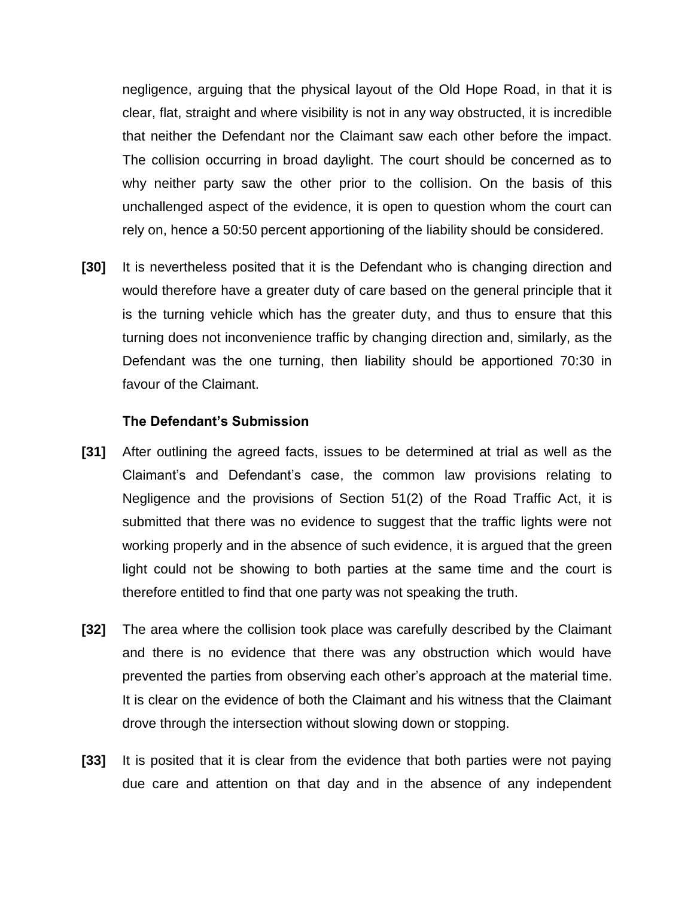negligence, arguing that the physical layout of the Old Hope Road, in that it is clear, flat, straight and where visibility is not in any way obstructed, it is incredible that neither the Defendant nor the Claimant saw each other before the impact. The collision occurring in broad daylight. The court should be concerned as to why neither party saw the other prior to the collision. On the basis of this unchallenged aspect of the evidence, it is open to question whom the court can rely on, hence a 50:50 percent apportioning of the liability should be considered.

**[30]** It is nevertheless posited that it is the Defendant who is changing direction and would therefore have a greater duty of care based on the general principle that it is the turning vehicle which has the greater duty, and thus to ensure that this turning does not inconvenience traffic by changing direction and, similarly, as the Defendant was the one turning, then liability should be apportioned 70:30 in favour of the Claimant.

#### **The Defendant's Submission**

- **[31]** After outlining the agreed facts, issues to be determined at trial as well as the Claimant's and Defendant's case, the common law provisions relating to Negligence and the provisions of Section 51(2) of the Road Traffic Act, it is submitted that there was no evidence to suggest that the traffic lights were not working properly and in the absence of such evidence, it is argued that the green light could not be showing to both parties at the same time and the court is therefore entitled to find that one party was not speaking the truth.
- **[32]** The area where the collision took place was carefully described by the Claimant and there is no evidence that there was any obstruction which would have prevented the parties from observing each other's approach at the material time. It is clear on the evidence of both the Claimant and his witness that the Claimant drove through the intersection without slowing down or stopping.
- **[33]** It is posited that it is clear from the evidence that both parties were not paying due care and attention on that day and in the absence of any independent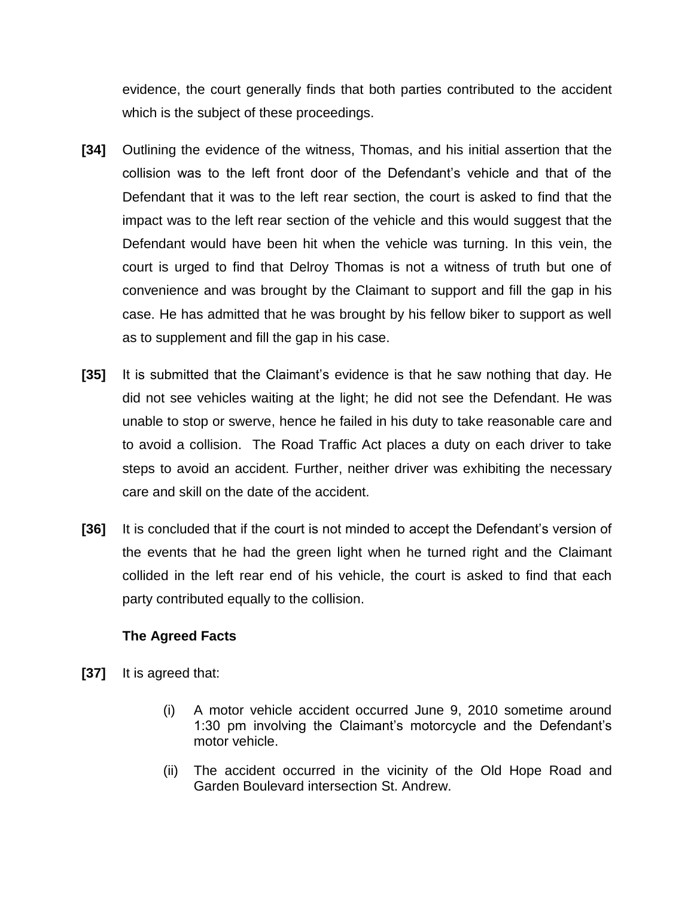evidence, the court generally finds that both parties contributed to the accident which is the subject of these proceedings.

- **[34]** Outlining the evidence of the witness, Thomas, and his initial assertion that the collision was to the left front door of the Defendant's vehicle and that of the Defendant that it was to the left rear section, the court is asked to find that the impact was to the left rear section of the vehicle and this would suggest that the Defendant would have been hit when the vehicle was turning. In this vein, the court is urged to find that Delroy Thomas is not a witness of truth but one of convenience and was brought by the Claimant to support and fill the gap in his case. He has admitted that he was brought by his fellow biker to support as well as to supplement and fill the gap in his case.
- **[35]** It is submitted that the Claimant's evidence is that he saw nothing that day. He did not see vehicles waiting at the light; he did not see the Defendant. He was unable to stop or swerve, hence he failed in his duty to take reasonable care and to avoid a collision. The Road Traffic Act places a duty on each driver to take steps to avoid an accident. Further, neither driver was exhibiting the necessary care and skill on the date of the accident.
- **[36]** It is concluded that if the court is not minded to accept the Defendant's version of the events that he had the green light when he turned right and the Claimant collided in the left rear end of his vehicle, the court is asked to find that each party contributed equally to the collision.

## **The Agreed Facts**

- **[37]** It is agreed that:
	- (i) A motor vehicle accident occurred June 9, 2010 sometime around 1:30 pm involving the Claimant's motorcycle and the Defendant's motor vehicle.
	- (ii) The accident occurred in the vicinity of the Old Hope Road and Garden Boulevard intersection St. Andrew.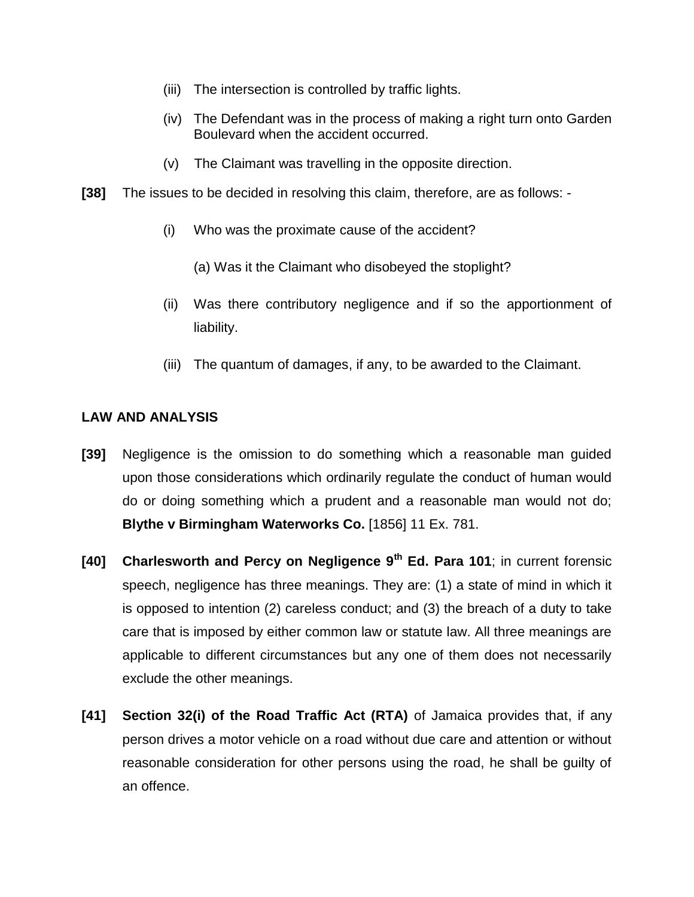- (iii) The intersection is controlled by traffic lights.
- (iv) The Defendant was in the process of making a right turn onto Garden Boulevard when the accident occurred.
- (v) The Claimant was travelling in the opposite direction.
- **[38]** The issues to be decided in resolving this claim, therefore, are as follows:
	- (i) Who was the proximate cause of the accident?
		- (a) Was it the Claimant who disobeyed the stoplight?
	- (ii) Was there contributory negligence and if so the apportionment of liability.
	- (iii) The quantum of damages, if any, to be awarded to the Claimant.

## **LAW AND ANALYSIS**

- **[39]** Negligence is the omission to do something which a reasonable man guided upon those considerations which ordinarily regulate the conduct of human would do or doing something which a prudent and a reasonable man would not do; **Blythe v Birmingham Waterworks Co.** [1856] 11 Ex. 781.
- **[40] Charlesworth and Percy on Negligence 9th Ed. Para 101**; in current forensic speech, negligence has three meanings. They are: (1) a state of mind in which it is opposed to intention (2) careless conduct; and (3) the breach of a duty to take care that is imposed by either common law or statute law. All three meanings are applicable to different circumstances but any one of them does not necessarily exclude the other meanings.
- **[41] Section 32(i) of the Road Traffic Act (RTA)** of Jamaica provides that, if any person drives a motor vehicle on a road without due care and attention or without reasonable consideration for other persons using the road, he shall be guilty of an offence.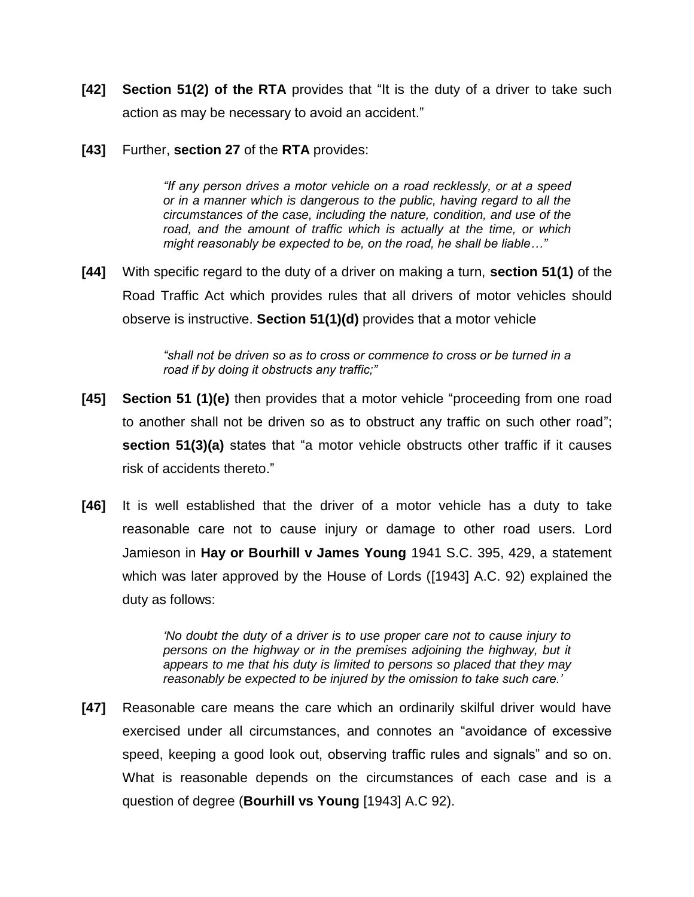- **[42] Section 51(2) of the RTA** provides that "It is the duty of a driver to take such action as may be necessary to avoid an accident."
- **[43]** Further, **section 27** of the **RTA** provides:

*"If any person drives a motor vehicle on a road recklessly, or at a speed or in a manner which is dangerous to the public, having regard to all the circumstances of the case, including the nature, condition, and use of the*  road, and the amount of traffic which is actually at the time, or which *might reasonably be expected to be, on the road, he shall be liable…"*

**[44]** With specific regard to the duty of a driver on making a turn, **section 51(1)** of the Road Traffic Act which provides rules that all drivers of motor vehicles should observe is instructive. **Section 51(1)(d)** provides that a motor vehicle

> *"shall not be driven so as to cross or commence to cross or be turned in a road if by doing it obstructs any traffic;"*

- **[45] Section 51 (1)(e)** then provides that a motor vehicle "proceeding from one road to another shall not be driven so as to obstruct any traffic on such other road"; **section 51(3)(a)** states that "a motor vehicle obstructs other traffic if it causes risk of accidents thereto."
- **[46]** It is well established that the driver of a motor vehicle has a duty to take reasonable care not to cause injury or damage to other road users. Lord Jamieson in **Hay or Bourhill v James Young** 1941 S.C. 395, 429, a statement which was later approved by the House of Lords ([1943] A.C. 92) explained the duty as follows:

*"No doubt the duty of a driver is to use proper care not to cause injury to*  persons on the highway or in the premises adjoining the highway, but it *appears to me that his duty is limited to persons so placed that they may reasonably be expected to be injured by the omission to take such care."*

**[47]** Reasonable care means the care which an ordinarily skilful driver would have exercised under all circumstances, and connotes an "avoidance of excessive speed, keeping a good look out, observing traffic rules and signals" and so on. What is reasonable depends on the circumstances of each case and is a question of degree (**Bourhill vs Young** [1943] A.C 92).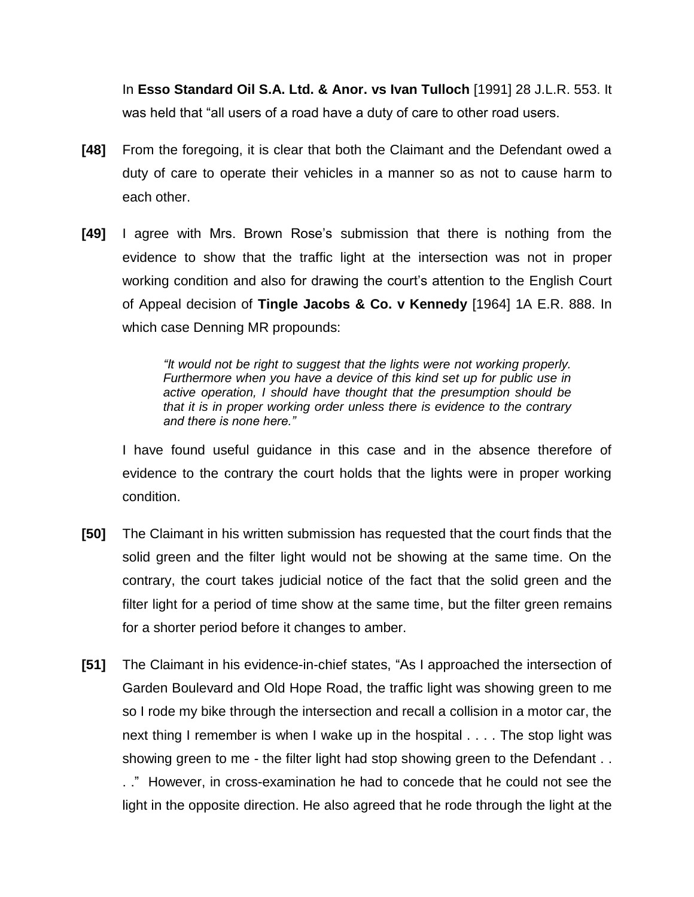In **Esso Standard Oil S.A. Ltd. & Anor. vs Ivan Tulloch** [1991] 28 J.L.R. 553. It was held that "all users of a road have a duty of care to other road users.

- **[48]** From the foregoing, it is clear that both the Claimant and the Defendant owed a duty of care to operate their vehicles in a manner so as not to cause harm to each other.
- **[49]** I agree with Mrs. Brown Rose's submission that there is nothing from the evidence to show that the traffic light at the intersection was not in proper working condition and also for drawing the court's attention to the English Court of Appeal decision of **Tingle Jacobs & Co. v Kennedy** [1964] 1A E.R. 888. In which case Denning MR propounds:

*"It would not be right to suggest that the lights were not working properly. Furthermore when you have a device of this kind set up for public use in active operation, I should have thought that the presumption should be that it is in proper working order unless there is evidence to the contrary and there is none here."* 

I have found useful guidance in this case and in the absence therefore of evidence to the contrary the court holds that the lights were in proper working condition.

- **[50]** The Claimant in his written submission has requested that the court finds that the solid green and the filter light would not be showing at the same time. On the contrary, the court takes judicial notice of the fact that the solid green and the filter light for a period of time show at the same time, but the filter green remains for a shorter period before it changes to amber.
- **[51]** The Claimant in his evidence-in-chief states, "As I approached the intersection of Garden Boulevard and Old Hope Road, the traffic light was showing green to me so I rode my bike through the intersection and recall a collision in a motor car, the next thing I remember is when I wake up in the hospital . . . . The stop light was showing green to me - the filter light had stop showing green to the Defendant . .

. ." However, in cross-examination he had to concede that he could not see the light in the opposite direction. He also agreed that he rode through the light at the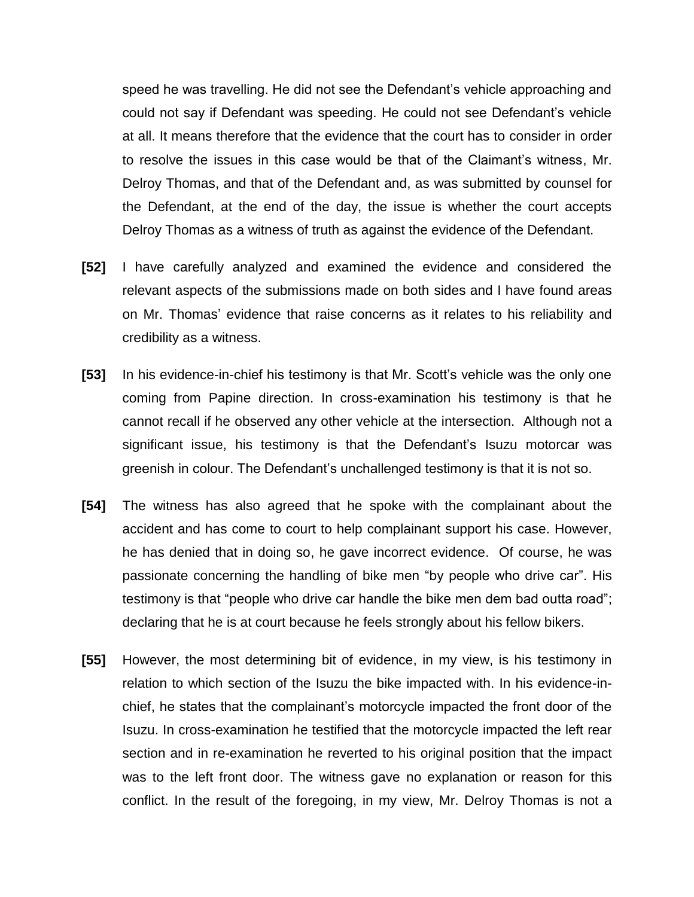speed he was travelling. He did not see the Defendant's vehicle approaching and could not say if Defendant was speeding. He could not see Defendant's vehicle at all. It means therefore that the evidence that the court has to consider in order to resolve the issues in this case would be that of the Claimant's witness, Mr. Delroy Thomas, and that of the Defendant and, as was submitted by counsel for the Defendant, at the end of the day, the issue is whether the court accepts Delroy Thomas as a witness of truth as against the evidence of the Defendant.

- **[52]** I have carefully analyzed and examined the evidence and considered the relevant aspects of the submissions made on both sides and I have found areas on Mr. Thomas' evidence that raise concerns as it relates to his reliability and credibility as a witness.
- **[53]** In his evidence-in-chief his testimony is that Mr. Scott's vehicle was the only one coming from Papine direction. In cross-examination his testimony is that he cannot recall if he observed any other vehicle at the intersection. Although not a significant issue, his testimony is that the Defendant's Isuzu motorcar was greenish in colour. The Defendant's unchallenged testimony is that it is not so.
- **[54]** The witness has also agreed that he spoke with the complainant about the accident and has come to court to help complainant support his case. However, he has denied that in doing so, he gave incorrect evidence. Of course, he was passionate concerning the handling of bike men "by people who drive car". His testimony is that "people who drive car handle the bike men dem bad outta road"; declaring that he is at court because he feels strongly about his fellow bikers.
- **[55]** However, the most determining bit of evidence, in my view, is his testimony in relation to which section of the Isuzu the bike impacted with. In his evidence-inchief, he states that the complainant's motorcycle impacted the front door of the Isuzu. In cross-examination he testified that the motorcycle impacted the left rear section and in re-examination he reverted to his original position that the impact was to the left front door. The witness gave no explanation or reason for this conflict. In the result of the foregoing, in my view, Mr. Delroy Thomas is not a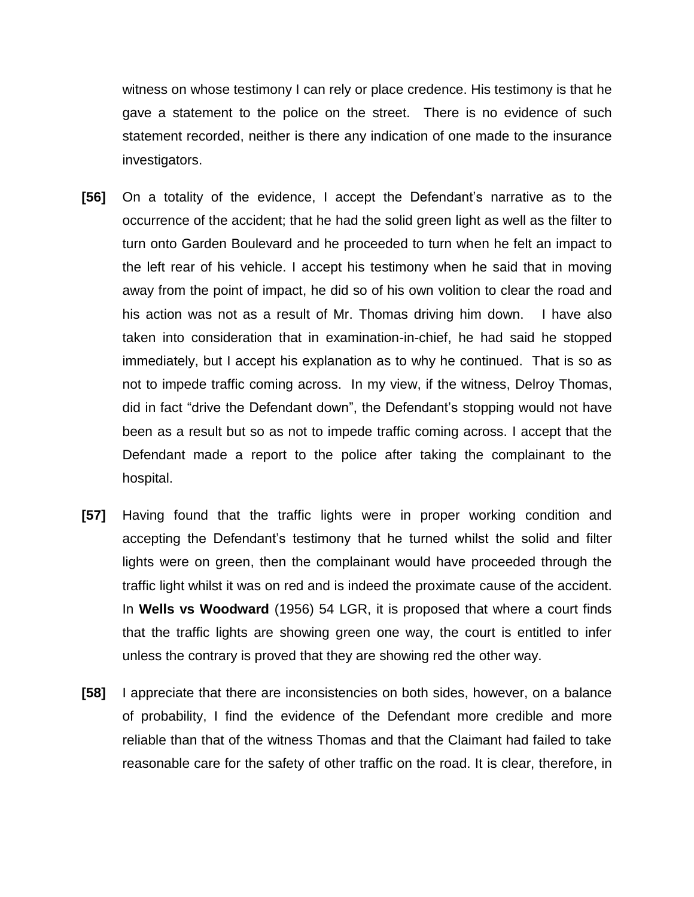witness on whose testimony I can rely or place credence. His testimony is that he gave a statement to the police on the street. There is no evidence of such statement recorded, neither is there any indication of one made to the insurance investigators.

- **[56]** On a totality of the evidence, I accept the Defendant's narrative as to the occurrence of the accident; that he had the solid green light as well as the filter to turn onto Garden Boulevard and he proceeded to turn when he felt an impact to the left rear of his vehicle. I accept his testimony when he said that in moving away from the point of impact, he did so of his own volition to clear the road and his action was not as a result of Mr. Thomas driving him down. I have also taken into consideration that in examination-in-chief, he had said he stopped immediately, but I accept his explanation as to why he continued. That is so as not to impede traffic coming across. In my view, if the witness, Delroy Thomas, did in fact "drive the Defendant down", the Defendant's stopping would not have been as a result but so as not to impede traffic coming across. I accept that the Defendant made a report to the police after taking the complainant to the hospital.
- **[57]** Having found that the traffic lights were in proper working condition and accepting the Defendant's testimony that he turned whilst the solid and filter lights were on green, then the complainant would have proceeded through the traffic light whilst it was on red and is indeed the proximate cause of the accident. In **Wells vs Woodward** (1956) 54 LGR, it is proposed that where a court finds that the traffic lights are showing green one way, the court is entitled to infer unless the contrary is proved that they are showing red the other way.
- **[58]** I appreciate that there are inconsistencies on both sides, however, on a balance of probability, I find the evidence of the Defendant more credible and more reliable than that of the witness Thomas and that the Claimant had failed to take reasonable care for the safety of other traffic on the road. It is clear, therefore, in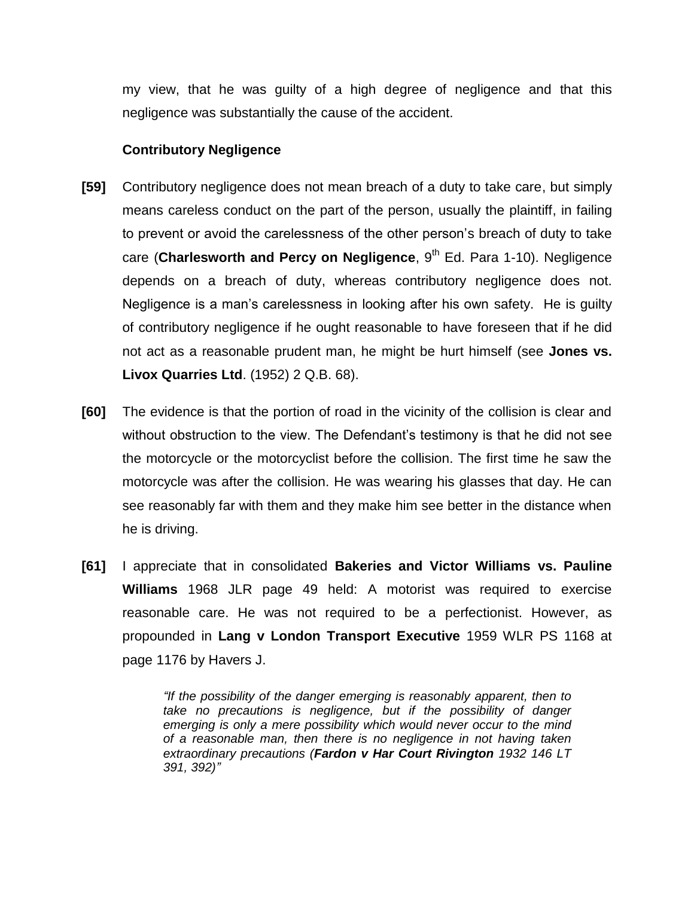my view, that he was guilty of a high degree of negligence and that this negligence was substantially the cause of the accident.

## **Contributory Negligence**

- **[59]** Contributory negligence does not mean breach of a duty to take care, but simply means careless conduct on the part of the person, usually the plaintiff, in failing to prevent or avoid the carelessness of the other person's breach of duty to take care (Charlesworth and Percy on Negligence, 9<sup>th</sup> Ed. Para 1-10). Negligence depends on a breach of duty, whereas contributory negligence does not. Negligence is a man's carelessness in looking after his own safety. He is guilty of contributory negligence if he ought reasonable to have foreseen that if he did not act as a reasonable prudent man, he might be hurt himself (see **Jones vs. Livox Quarries Ltd**. (1952) 2 Q.B. 68).
- **[60]** The evidence is that the portion of road in the vicinity of the collision is clear and without obstruction to the view. The Defendant's testimony is that he did not see the motorcycle or the motorcyclist before the collision. The first time he saw the motorcycle was after the collision. He was wearing his glasses that day. He can see reasonably far with them and they make him see better in the distance when he is driving.
- **[61]** I appreciate that in consolidated **Bakeries and Victor Williams vs. Pauline Williams** 1968 JLR page 49 held: A motorist was required to exercise reasonable care. He was not required to be a perfectionist. However, as propounded in **Lang v London Transport Executive** 1959 WLR PS 1168 at page 1176 by Havers J.

*"If the possibility of the danger emerging is reasonably apparent, then to take no precautions is negligence, but if the possibility of danger emerging is only a mere possibility which would never occur to the mind of a reasonable man, then there is no negligence in not having taken extraordinary precautions (Fardon v Har Court Rivington 1932 146 LT 391, 392)"*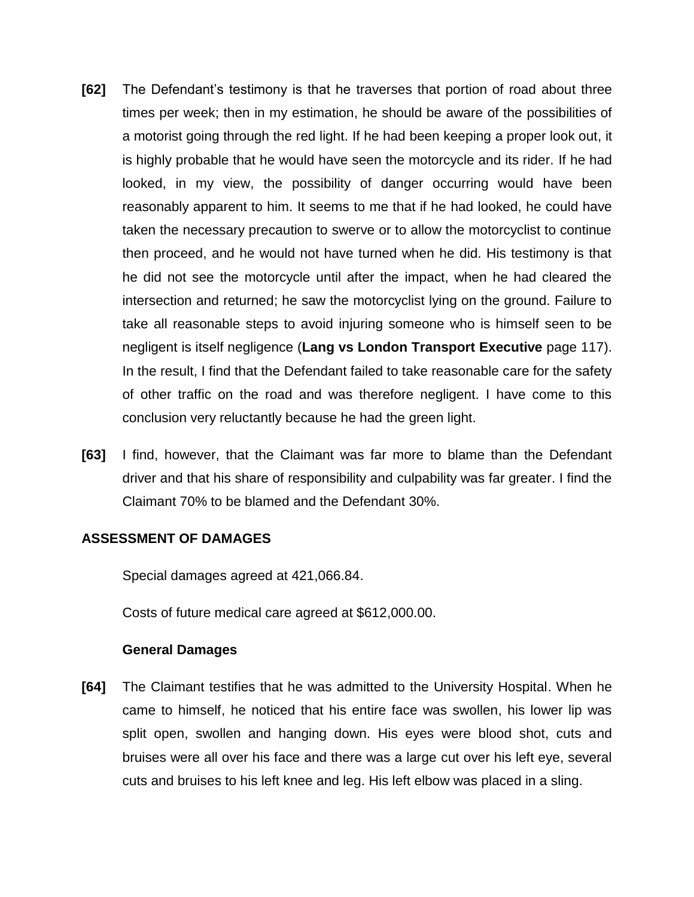- **[62]** The Defendant's testimony is that he traverses that portion of road about three times per week; then in my estimation, he should be aware of the possibilities of a motorist going through the red light. If he had been keeping a proper look out, it is highly probable that he would have seen the motorcycle and its rider. If he had looked, in my view, the possibility of danger occurring would have been reasonably apparent to him. It seems to me that if he had looked, he could have taken the necessary precaution to swerve or to allow the motorcyclist to continue then proceed, and he would not have turned when he did. His testimony is that he did not see the motorcycle until after the impact, when he had cleared the intersection and returned; he saw the motorcyclist lying on the ground. Failure to take all reasonable steps to avoid injuring someone who is himself seen to be negligent is itself negligence (**Lang vs London Transport Executive** page 117). In the result, I find that the Defendant failed to take reasonable care for the safety of other traffic on the road and was therefore negligent. I have come to this conclusion very reluctantly because he had the green light.
- **[63]** I find, however, that the Claimant was far more to blame than the Defendant driver and that his share of responsibility and culpability was far greater. I find the Claimant 70% to be blamed and the Defendant 30%.

## **ASSESSMENT OF DAMAGES**

Special damages agreed at 421,066.84.

Costs of future medical care agreed at \$612,000.00.

#### **General Damages**

**[64]** The Claimant testifies that he was admitted to the University Hospital. When he came to himself, he noticed that his entire face was swollen, his lower lip was split open, swollen and hanging down. His eyes were blood shot, cuts and bruises were all over his face and there was a large cut over his left eye, several cuts and bruises to his left knee and leg. His left elbow was placed in a sling.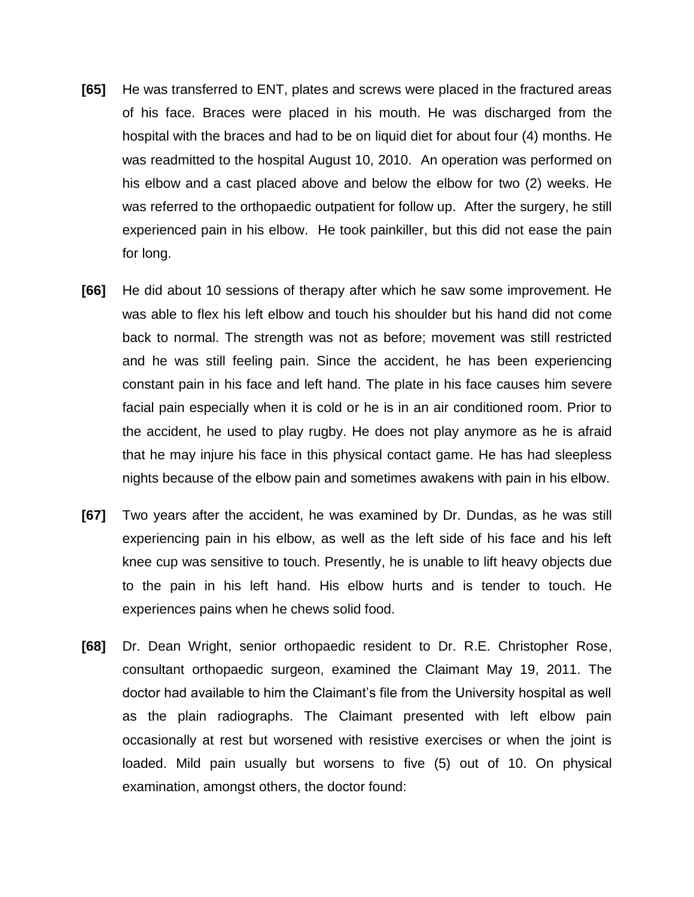- **[65]** He was transferred to ENT, plates and screws were placed in the fractured areas of his face. Braces were placed in his mouth. He was discharged from the hospital with the braces and had to be on liquid diet for about four (4) months. He was readmitted to the hospital August 10, 2010. An operation was performed on his elbow and a cast placed above and below the elbow for two (2) weeks. He was referred to the orthopaedic outpatient for follow up. After the surgery, he still experienced pain in his elbow. He took painkiller, but this did not ease the pain for long.
- **[66]** He did about 10 sessions of therapy after which he saw some improvement. He was able to flex his left elbow and touch his shoulder but his hand did not come back to normal. The strength was not as before; movement was still restricted and he was still feeling pain. Since the accident, he has been experiencing constant pain in his face and left hand. The plate in his face causes him severe facial pain especially when it is cold or he is in an air conditioned room. Prior to the accident, he used to play rugby. He does not play anymore as he is afraid that he may injure his face in this physical contact game. He has had sleepless nights because of the elbow pain and sometimes awakens with pain in his elbow.
- **[67]** Two years after the accident, he was examined by Dr. Dundas, as he was still experiencing pain in his elbow, as well as the left side of his face and his left knee cup was sensitive to touch. Presently, he is unable to lift heavy objects due to the pain in his left hand. His elbow hurts and is tender to touch. He experiences pains when he chews solid food.
- **[68]** Dr. Dean Wright, senior orthopaedic resident to Dr. R.E. Christopher Rose, consultant orthopaedic surgeon, examined the Claimant May 19, 2011. The doctor had available to him the Claimant's file from the University hospital as well as the plain radiographs. The Claimant presented with left elbow pain occasionally at rest but worsened with resistive exercises or when the joint is loaded. Mild pain usually but worsens to five (5) out of 10. On physical examination, amongst others, the doctor found: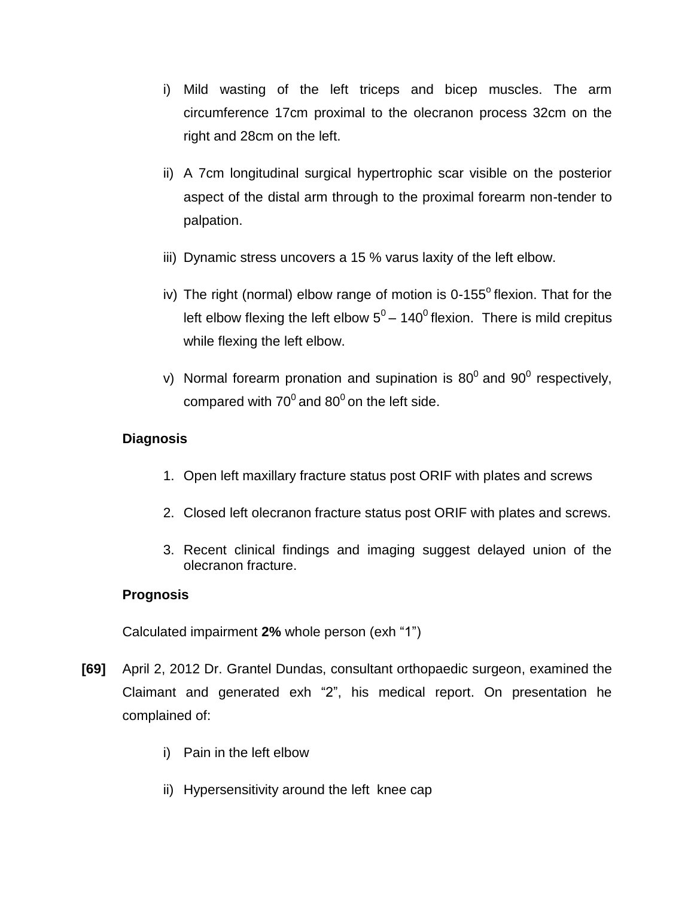- i) Mild wasting of the left triceps and bicep muscles. The arm circumference 17cm proximal to the olecranon process 32cm on the right and 28cm on the left.
- ii) A 7cm longitudinal surgical hypertrophic scar visible on the posterior aspect of the distal arm through to the proximal forearm non-tender to palpation.
- iii) Dynamic stress uncovers a 15 % varus laxity of the left elbow.
- iv) The right (normal) elbow range of motion is  $0-155^\circ$  flexion. That for the left elbow flexing the left elbow  $5^0$  – 140<sup>0</sup> flexion. There is mild crepitus while flexing the left elbow.
- v) Normal forearm pronation and supination is 80<sup>0</sup> and 90<sup>0</sup> respectively, compared with 70<sup>0</sup> and 80<sup>0</sup> on the left side.

# **Diagnosis**

- 1. Open left maxillary fracture status post ORIF with plates and screws
- 2. Closed left olecranon fracture status post ORIF with plates and screws.
- 3. Recent clinical findings and imaging suggest delayed union of the olecranon fracture.

# **Prognosis**

Calculated impairment **2%** whole person (exh "1")

- **[69]** April 2, 2012 Dr. Grantel Dundas, consultant orthopaedic surgeon, examined the Claimant and generated exh "2", his medical report. On presentation he complained of:
	- i) Pain in the left elbow
	- ii) Hypersensitivity around the left knee cap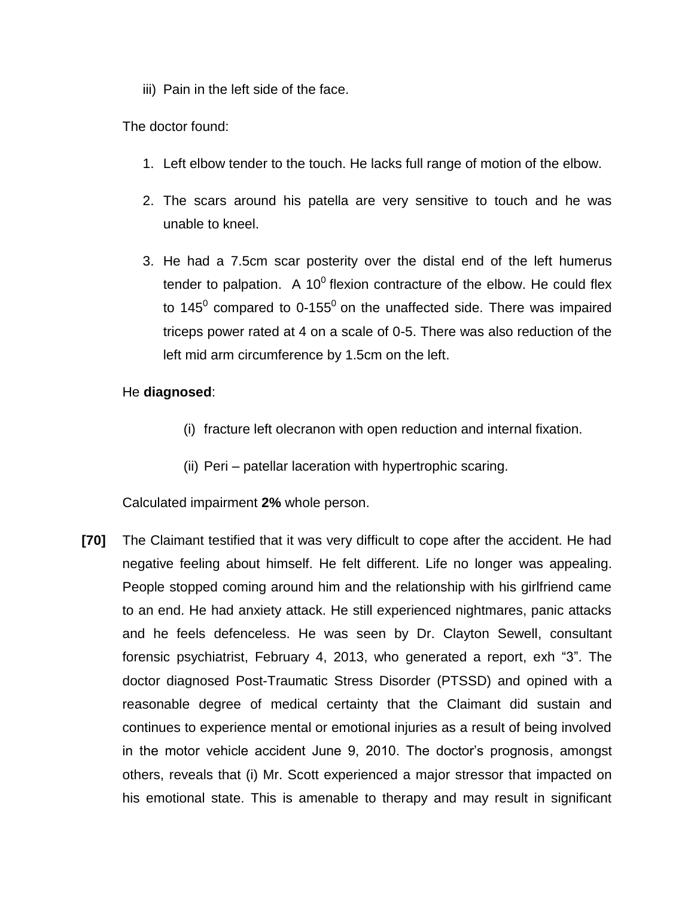iii) Pain in the left side of the face.

The doctor found:

- 1. Left elbow tender to the touch. He lacks full range of motion of the elbow.
- 2. The scars around his patella are very sensitive to touch and he was unable to kneel.
- 3. He had a 7.5cm scar posterity over the distal end of the left humerus tender to palpation. A 10<sup>0</sup> flexion contracture of the elbow. He could flex to 145<sup>0</sup> compared to 0-155<sup>0</sup> on the unaffected side. There was impaired triceps power rated at 4 on a scale of 0-5. There was also reduction of the left mid arm circumference by 1.5cm on the left.

## He **diagnosed**:

- (i) fracture left olecranon with open reduction and internal fixation.
- (ii) Peri patellar laceration with hypertrophic scaring.

Calculated impairment **2%** whole person.

**[70]** The Claimant testified that it was very difficult to cope after the accident. He had negative feeling about himself. He felt different. Life no longer was appealing. People stopped coming around him and the relationship with his girlfriend came to an end. He had anxiety attack. He still experienced nightmares, panic attacks and he feels defenceless. He was seen by Dr. Clayton Sewell, consultant forensic psychiatrist, February 4, 2013, who generated a report, exh "3". The doctor diagnosed Post-Traumatic Stress Disorder (PTSSD) and opined with a reasonable degree of medical certainty that the Claimant did sustain and continues to experience mental or emotional injuries as a result of being involved in the motor vehicle accident June 9, 2010. The doctor's prognosis, amongst others, reveals that (i) Mr. Scott experienced a major stressor that impacted on his emotional state. This is amenable to therapy and may result in significant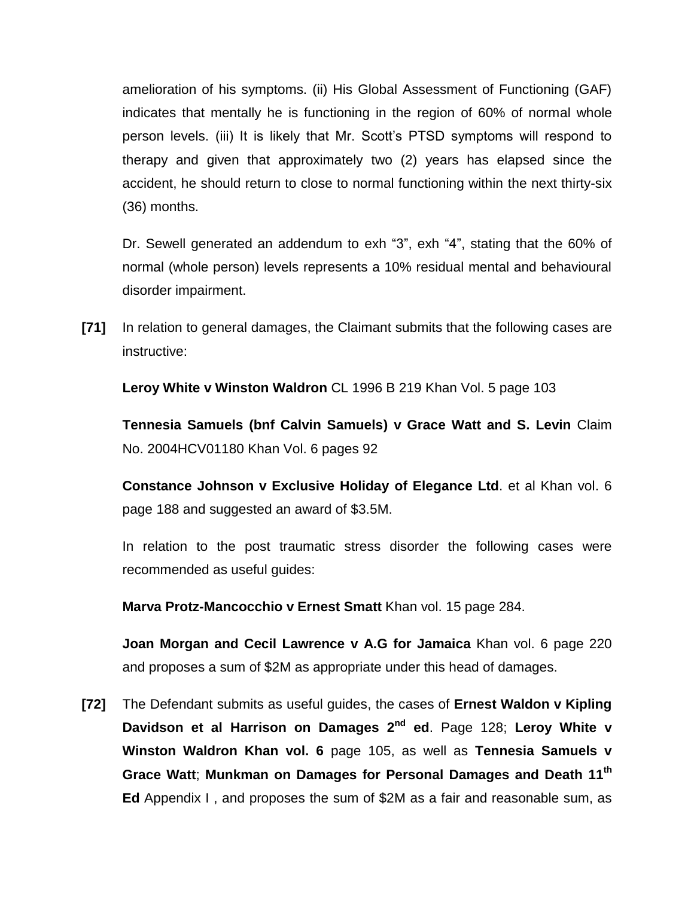amelioration of his symptoms. (ii) His Global Assessment of Functioning (GAF) indicates that mentally he is functioning in the region of 60% of normal whole person levels. (iii) It is likely that Mr. Scott's PTSD symptoms will respond to therapy and given that approximately two (2) years has elapsed since the accident, he should return to close to normal functioning within the next thirty-six (36) months.

Dr. Sewell generated an addendum to exh "3", exh "4", stating that the 60% of normal (whole person) levels represents a 10% residual mental and behavioural disorder impairment.

**[71]** In relation to general damages, the Claimant submits that the following cases are instructive:

**Leroy White v Winston Waldron** CL 1996 B 219 Khan Vol. 5 page 103

**Tennesia Samuels (bnf Calvin Samuels) v Grace Watt and S. Levin** Claim No. 2004HCV01180 Khan Vol. 6 pages 92

**Constance Johnson v Exclusive Holiday of Elegance Ltd**. et al Khan vol. 6 page 188 and suggested an award of \$3.5M.

In relation to the post traumatic stress disorder the following cases were recommended as useful guides:

**Marva Protz-Mancocchio v Ernest Smatt** Khan vol. 15 page 284.

**Joan Morgan and Cecil Lawrence v A.G for Jamaica** Khan vol. 6 page 220 and proposes a sum of \$2M as appropriate under this head of damages.

**[72]** The Defendant submits as useful guides, the cases of **Ernest Waldon v Kipling Davidson et al Harrison on Damages 2nd ed**. Page 128; **Leroy White v Winston Waldron Khan vol. 6** page 105, as well as **Tennesia Samuels v Grace Watt**; **Munkman on Damages for Personal Damages and Death 11th Ed** Appendix I , and proposes the sum of \$2M as a fair and reasonable sum, as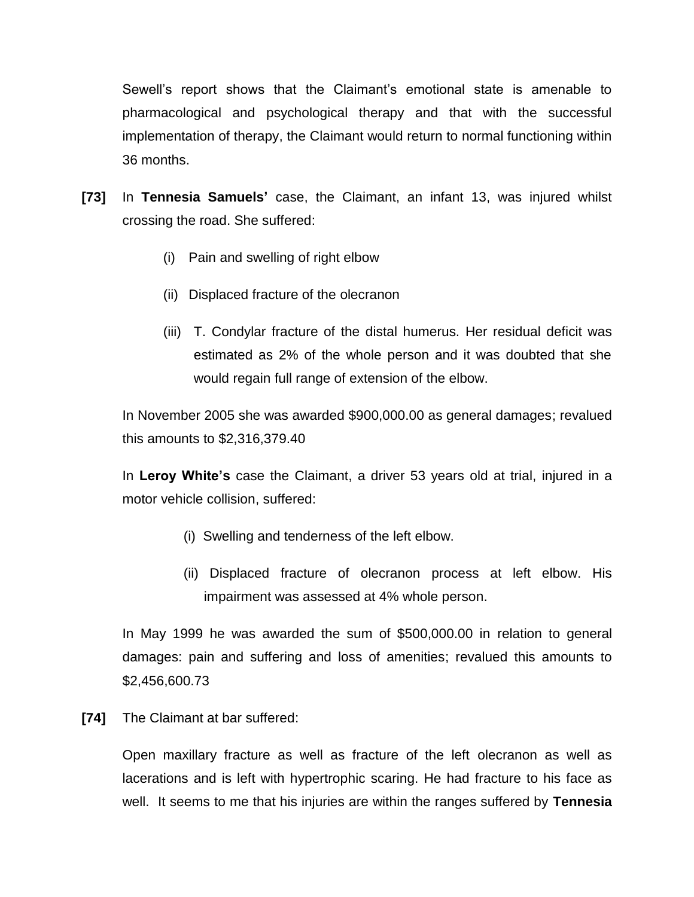Sewell's report shows that the Claimant's emotional state is amenable to pharmacological and psychological therapy and that with the successful implementation of therapy, the Claimant would return to normal functioning within 36 months.

- **[73]** In **Tennesia Samuels'** case, the Claimant, an infant 13, was injured whilst crossing the road. She suffered:
	- (i) Pain and swelling of right elbow
	- (ii) Displaced fracture of the olecranon
	- (iii) T. Condylar fracture of the distal humerus. Her residual deficit was estimated as 2% of the whole person and it was doubted that she would regain full range of extension of the elbow.

In November 2005 she was awarded \$900,000.00 as general damages; revalued this amounts to \$2,316,379.40

In **Leroy White's** case the Claimant, a driver 53 years old at trial, injured in a motor vehicle collision, suffered:

- (i) Swelling and tenderness of the left elbow.
- (ii) Displaced fracture of olecranon process at left elbow. His impairment was assessed at 4% whole person.

In May 1999 he was awarded the sum of \$500,000.00 in relation to general damages: pain and suffering and loss of amenities; revalued this amounts to \$2,456,600.73

**[74]** The Claimant at bar suffered:

Open maxillary fracture as well as fracture of the left olecranon as well as lacerations and is left with hypertrophic scaring. He had fracture to his face as well. It seems to me that his injuries are within the ranges suffered by **Tennesia**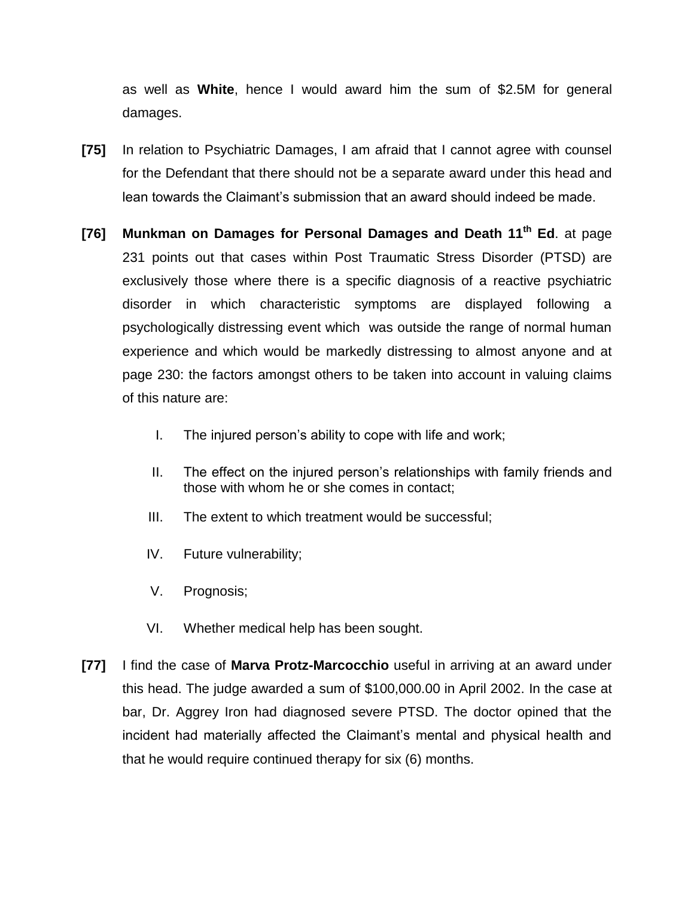as well as **White**, hence I would award him the sum of \$2.5M for general damages.

- **[75]** In relation to Psychiatric Damages, I am afraid that I cannot agree with counsel for the Defendant that there should not be a separate award under this head and lean towards the Claimant's submission that an award should indeed be made.
- **[76] Munkman on Damages for Personal Damages and Death 11th Ed**. at page 231 points out that cases within Post Traumatic Stress Disorder (PTSD) are exclusively those where there is a specific diagnosis of a reactive psychiatric disorder in which characteristic symptoms are displayed following a psychologically distressing event which was outside the range of normal human experience and which would be markedly distressing to almost anyone and at page 230: the factors amongst others to be taken into account in valuing claims of this nature are:
	- I. The injured person's ability to cope with life and work;
	- II. The effect on the injured person's relationships with family friends and those with whom he or she comes in contact;
	- III. The extent to which treatment would be successful;
	- IV. Future vulnerability;
	- V. Prognosis;
	- VI. Whether medical help has been sought.
- **[77]** I find the case of **Marva Protz-Marcocchio** useful in arriving at an award under this head. The judge awarded a sum of \$100,000.00 in April 2002. In the case at bar, Dr. Aggrey Iron had diagnosed severe PTSD. The doctor opined that the incident had materially affected the Claimant's mental and physical health and that he would require continued therapy for six (6) months.